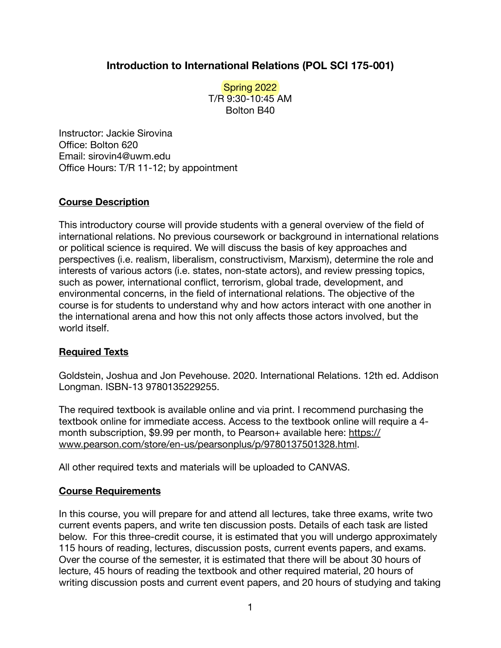# **Introduction to International Relations (POL SCI 175-001)**

Spring 2022 T/R 9:30-10:45 AM Bolton B40

Instructor: Jackie Sirovina Office: Bolton 620 Email: [sirovin4@uwm.edu](mailto:sirovin4@uwm.edu) Office Hours: T/R 11-12; by appointment

## **Course Description**

This introductory course will provide students with a general overview of the field of international relations. No previous coursework or background in international relations or political science is required. We will discuss the basis of key approaches and perspectives (i.e. realism, liberalism, constructivism, Marxism), determine the role and interests of various actors (i.e. states, non-state actors), and review pressing topics, such as power, international conflict, terrorism, global trade, development, and environmental concerns, in the field of international relations. The objective of the course is for students to understand why and how actors interact with one another in the international arena and how this not only affects those actors involved, but the world itself.

### **Required Texts**

Goldstein, Joshua and Jon Pevehouse. 2020. International Relations. 12th ed. Addison Longman. ISBN-13 9780135229255.

The required textbook is available online and via print. I recommend purchasing the textbook online for immediate access. Access to the textbook online will require a 4 [month subscription, \\$9.99 per month, to Pearson+ available here: https://](https://www.pearson.com/store/en-us/pearsonplus/p/9780137501328.html) [www.pearson.com/store/en-us/pearsonplus/p/9780137501328.html](https://www.pearson.com/store/en-us/pearsonplus/p/9780137501328.html).

All other required texts and materials will be uploaded to CANVAS.

### **Course Requirements**

In this course, you will prepare for and attend all lectures, take three exams, write two current events papers, and write ten discussion posts. Details of each task are listed below. For this three-credit course, it is estimated that you will undergo approximately 115 hours of reading, lectures, discussion posts, current events papers, and exams. Over the course of the semester, it is estimated that there will be about 30 hours of lecture, 45 hours of reading the textbook and other required material, 20 hours of writing discussion posts and current event papers, and 20 hours of studying and taking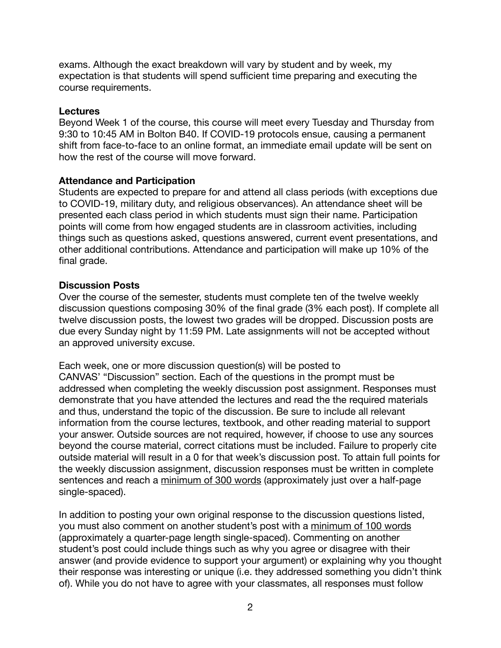exams. Although the exact breakdown will vary by student and by week, my expectation is that students will spend sufficient time preparing and executing the course requirements.

#### **Lectures**

Beyond Week 1 of the course, this course will meet every Tuesday and Thursday from 9:30 to 10:45 AM in Bolton B40. If COVID-19 protocols ensue, causing a permanent shift from face-to-face to an online format, an immediate email update will be sent on how the rest of the course will move forward.

### **Attendance and Participation**

Students are expected to prepare for and attend all class periods (with exceptions due to COVID-19, military duty, and religious observances). An attendance sheet will be presented each class period in which students must sign their name. Participation points will come from how engaged students are in classroom activities, including things such as questions asked, questions answered, current event presentations, and other additional contributions. Attendance and participation will make up 10% of the final grade.

### **Discussion Posts**

Over the course of the semester, students must complete ten of the twelve weekly discussion questions composing 30% of the final grade (3% each post). If complete all twelve discussion posts, the lowest two grades will be dropped. Discussion posts are due every Sunday night by 11:59 PM. Late assignments will not be accepted without an approved university excuse.

Each week, one or more discussion question(s) will be posted to CANVAS' "Discussion" section. Each of the questions in the prompt must be addressed when completing the weekly discussion post assignment. Responses must demonstrate that you have attended the lectures and read the the required materials and thus, understand the topic of the discussion. Be sure to include all relevant information from the course lectures, textbook, and other reading material to support your answer. Outside sources are not required, however, if choose to use any sources beyond the course material, correct citations must be included. Failure to properly cite outside material will result in a 0 for that week's discussion post. To attain full points for the weekly discussion assignment, discussion responses must be written in complete sentences and reach a minimum of 300 words (approximately just over a half-page single-spaced).

In addition to posting your own original response to the discussion questions listed, you must also comment on another student's post with a minimum of 100 words (approximately a quarter-page length single-spaced). Commenting on another student's post could include things such as why you agree or disagree with their answer (and provide evidence to support your argument) or explaining why you thought their response was interesting or unique (i.e. they addressed something you didn't think of). While you do not have to agree with your classmates, all responses must follow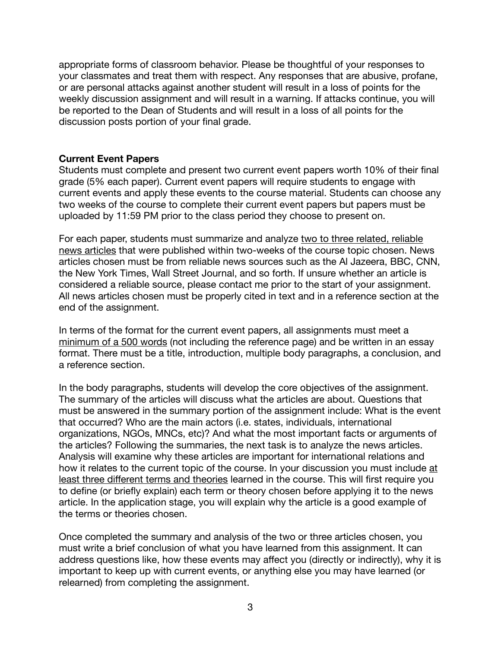appropriate forms of classroom behavior. Please be thoughtful of your responses to your classmates and treat them with respect. Any responses that are abusive, profane, or are personal attacks against another student will result in a loss of points for the weekly discussion assignment and will result in a warning. If attacks continue, you will be reported to the Dean of Students and will result in a loss of all points for the discussion posts portion of your final grade.

## **Current Event Papers**

Students must complete and present two current event papers worth 10% of their final grade (5% each paper). Current event papers will require students to engage with current events and apply these events to the course material. Students can choose any two weeks of the course to complete their current event papers but papers must be uploaded by 11:59 PM prior to the class period they choose to present on.

For each paper, students must summarize and analyze two to three related, reliable news articles that were published within two-weeks of the course topic chosen. News articles chosen must be from reliable news sources such as the Al Jazeera, BBC, CNN, the New York Times, Wall Street Journal, and so forth. If unsure whether an article is considered a reliable source, please contact me prior to the start of your assignment. All news articles chosen must be properly cited in text and in a reference section at the end of the assignment.

In terms of the format for the current event papers, all assignments must meet a minimum of a 500 words (not including the reference page) and be written in an essay format. There must be a title, introduction, multiple body paragraphs, a conclusion, and a reference section.

In the body paragraphs, students will develop the core objectives of the assignment. The summary of the articles will discuss what the articles are about. Questions that must be answered in the summary portion of the assignment include: What is the event that occurred? Who are the main actors (i.e. states, individuals, international organizations, NGOs, MNCs, etc)? And what the most important facts or arguments of the articles? Following the summaries, the next task is to analyze the news articles. Analysis will examine why these articles are important for international relations and how it relates to the current topic of the course. In your discussion you must include at least three different terms and theories learned in the course. This will first require you to define (or briefly explain) each term or theory chosen before applying it to the news article. In the application stage, you will explain why the article is a good example of the terms or theories chosen.

Once completed the summary and analysis of the two or three articles chosen, you must write a brief conclusion of what you have learned from this assignment. It can address questions like, how these events may affect you (directly or indirectly), why it is important to keep up with current events, or anything else you may have learned (or relearned) from completing the assignment.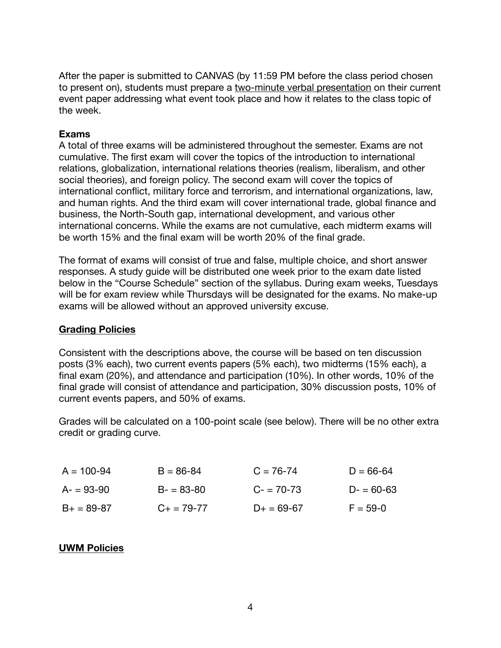After the paper is submitted to CANVAS (by 11:59 PM before the class period chosen to present on), students must prepare a two-minute verbal presentation on their current event paper addressing what event took place and how it relates to the class topic of the week.

## **Exams**

A total of three exams will be administered throughout the semester. Exams are not cumulative. The first exam will cover the topics of the introduction to international relations, globalization, international relations theories (realism, liberalism, and other social theories), and foreign policy. The second exam will cover the topics of international conflict, military force and terrorism, and international organizations, law, and human rights. And the third exam will cover international trade, global finance and business, the North-South gap, international development, and various other international concerns. While the exams are not cumulative, each midterm exams will be worth 15% and the final exam will be worth 20% of the final grade.

The format of exams will consist of true and false, multiple choice, and short answer responses. A study guide will be distributed one week prior to the exam date listed below in the "Course Schedule" section of the syllabus. During exam weeks, Tuesdays will be for exam review while Thursdays will be designated for the exams. No make-up exams will be allowed without an approved university excuse.

### **Grading Policies**

Consistent with the descriptions above, the course will be based on ten discussion posts (3% each), two current events papers (5% each), two midterms (15% each), a final exam (20%), and attendance and participation (10%). In other words, 10% of the final grade will consist of attendance and participation, 30% discussion posts, 10% of current events papers, and 50% of exams.

Grades will be calculated on a 100-point scale (see below). There will be no other extra credit or grading curve.

| $A = 100 - 94$ | $B = 86 - 84$     | $C = 76 - 74$ | $D = 66-64$ |
|----------------|-------------------|---------------|-------------|
| $A = 93-90$    | $B - 83 - 80$     | $C = 70-73$   | $D = 60-63$ |
| $B+ = 89-87$   | $C_{+} = 79 - 77$ | $D+ = 69-67$  | $F = 59-0$  |

## **UWM Policies**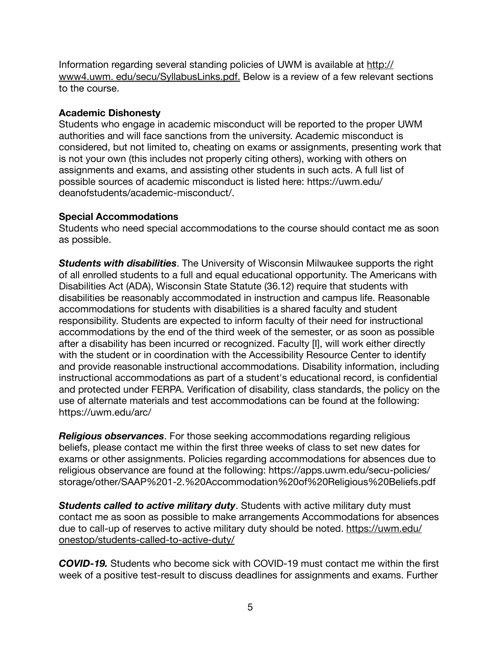Information regarding several standing policies of UWM is available at http:// www4.uwm. edu/secu/SyllabusLinks.pdf. Below is a review of a few relevant sections to the course.

## **Academic Dishonesty**

Students who engage in academic misconduct will be reported to the proper UWM authorities and will face sanctions from the university. Academic misconduct is considered, but not limited to, cheating on exams or assignments, presenting work that is not your own (this includes not properly citing others), working with others on assignments and exams, and assisting other students in such acts. A full list of possible sources of academic misconduct is listed here: https://uwm.edu/ deanofstudents/academic-misconduct/.

# **Special Accommodations**

Students who need special accommodations to the course should contact me as soon as possible.

*Students with disabilities*. The University of Wisconsin Milwaukee supports the right of all enrolled students to a full and equal educational opportunity. The Americans with Disabilities Act (ADA), Wisconsin State Statute (36.12) require that students with disabilities be reasonably accommodated in instruction and campus life. Reasonable accommodations for students with disabilities is a shared faculty and student responsibility. Students are expected to inform faculty of their need for instructional accommodations by the end of the third week of the semester, or as soon as possible after a disability has been incurred or recognized. Faculty [I], will work either directly with the student or in coordination with the Accessibility Resource Center to identify and provide reasonable instructional accommodations. Disability information, including instructional accommodations as part of a student's educational record, is confidential and protected under FERPA. Verification of disability, class standards, the policy on the use of alternate materials and test accommodations can be found at the following: https://uwm.edu/arc/

*Religious observances*. For those seeking accommodations regarding religious beliefs, please contact me within the first three weeks of class to set new dates for exams or other assignments. Policies regarding accommodations for absences due to religious observance are found at the following: https://apps.uwm.edu/secu-policies/ storage/other/SAAP%201-2.%20Accommodation%20of%20Religious%20Beliefs.pdf

*Students called to active military duty*. Students with active military duty must contact me as soon as possible to make arrangements Accommodations for absences due to call-up of reserves to active military duty should be noted. [https://uwm.edu/](https://uwm.edu/onestop/students-called-to-active-duty/) [onestop/students-called-to-active-duty/](https://uwm.edu/onestop/students-called-to-active-duty/)

*COVID-19.* Students who become sick with COVID-19 must contact me within the first week of a positive test-result to discuss deadlines for assignments and exams. Further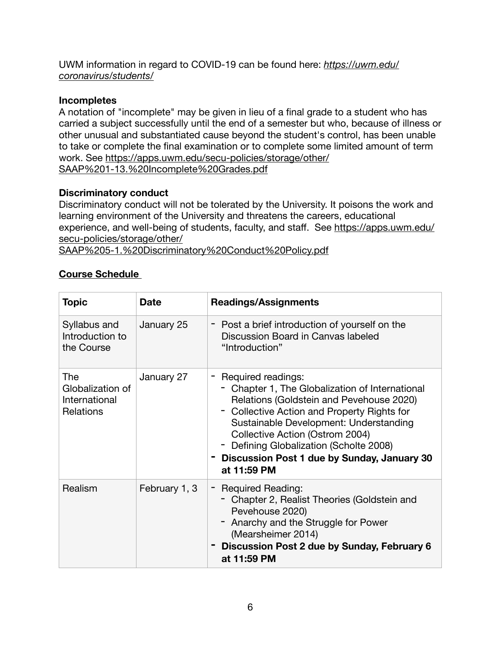UWM information in regard to COVID-19 can be found here: *[https://uwm.edu/](https://uwm.edu/coronavirus/students/) [coronavirus/students/](https://uwm.edu/coronavirus/students/)*

# **Incompletes**

A notation of "incomplete" may be given in lieu of a final grade to a student who has carried a subject successfully until the end of a semester but who, because of illness or other unusual and substantiated cause beyond the student's control, has been unable to take or complete the final examination or to complete some limited amount of term [work. See https://apps.uwm.edu/secu-policies/storage/other/](https://apps.uwm.edu/secu-policies/storage/other/SAAP%201-13.%20Incomplete%20Grades.pdf) [SAAP%201-13.%20Incomplete%20Grades.pdf](https://apps.uwm.edu/secu-policies/storage/other/SAAP%201-13.%20Incomplete%20Grades.pdf)

## **Discriminatory conduct**

Discriminatory conduct will not be tolerated by the University. It poisons the work and learning environment of the University and threatens the careers, educational experience, and well-being of students, faculty, and staff. See https://apps.uwm.edu/ secu-policies/storage/other/

SAAP%205-1.%20Discriminatory%20Conduct%20Policy.pdf

# **Course Schedule**

| <b>Topic</b>                                                 | <b>Date</b>   | <b>Readings/Assignments</b>                                                                                                                                                                                                                                                                                                                              |
|--------------------------------------------------------------|---------------|----------------------------------------------------------------------------------------------------------------------------------------------------------------------------------------------------------------------------------------------------------------------------------------------------------------------------------------------------------|
| Syllabus and<br>Introduction to<br>the Course                | January 25    | - Post a brief introduction of yourself on the<br>Discussion Board in Canvas labeled<br>"Introduction"                                                                                                                                                                                                                                                   |
| The<br>Globalization of<br>International<br><b>Relations</b> | January 27    | - Required readings:<br>- Chapter 1, The Globalization of International<br>Relations (Goldstein and Pevehouse 2020)<br>- Collective Action and Property Rights for<br>Sustainable Development: Understanding<br>Collective Action (Ostrom 2004)<br>- Defining Globalization (Scholte 2008)<br>Discussion Post 1 due by Sunday, January 30<br>at 11:59 PM |
| Realism                                                      | February 1, 3 | - Required Reading:<br>Chapter 2, Realist Theories (Goldstein and<br>Pevehouse 2020)<br>- Anarchy and the Struggle for Power<br>(Mearsheimer 2014)<br>Discussion Post 2 due by Sunday, February 6<br>at 11:59 PM                                                                                                                                         |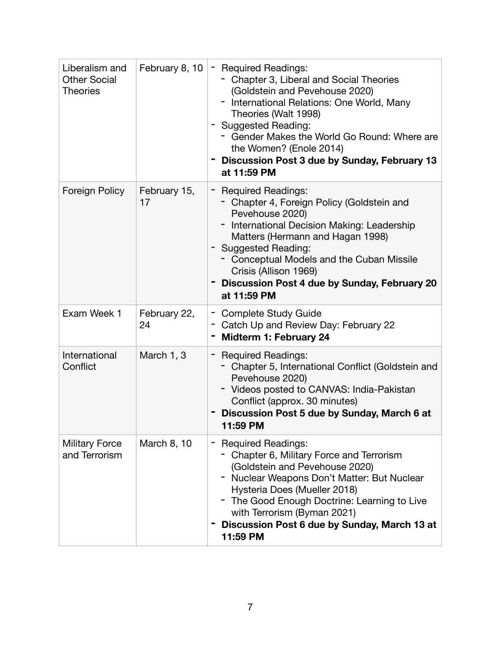| Liberalism and<br><b>Other Social</b><br><b>Theories</b> | February 8, 10     | - Required Readings:<br>Chapter 3, Liberal and Social Theories<br>(Goldstein and Pevehouse 2020)<br>- International Relations: One World, Many<br>Theories (Walt 1998)<br>- Suggested Reading:<br>- Gender Makes the World Go Round: Where are<br>the Women? (Enole 2014)<br>Discussion Post 3 due by Sunday, February 13<br>at 11:59 PM |
|----------------------------------------------------------|--------------------|------------------------------------------------------------------------------------------------------------------------------------------------------------------------------------------------------------------------------------------------------------------------------------------------------------------------------------------|
| Foreign Policy                                           | February 15,<br>17 | <b>Required Readings:</b><br>- Chapter 4, Foreign Policy (Goldstein and<br>Pevehouse 2020)<br>International Decision Making: Leadership<br>Matters (Hermann and Hagan 1998)<br>- Suggested Reading:<br>- Conceptual Models and the Cuban Missile<br>Crisis (Allison 1969)<br>Discussion Post 4 due by Sunday, February 20<br>at 11:59 PM |
| Exam Week 1                                              | February 22,<br>24 | - Complete Study Guide<br>- Catch Up and Review Day: February 22<br>Midterm 1: February 24                                                                                                                                                                                                                                               |
| International<br>Conflict                                | March 1, 3         | <b>Required Readings:</b><br>- Chapter 5, International Conflict (Goldstein and<br>Pevehouse 2020)<br>- Videos posted to CANVAS: India-Pakistan<br>Conflict (approx. 30 minutes)<br>Discussion Post 5 due by Sunday, March 6 at<br>11:59 PM                                                                                              |
| <b>Military Force</b><br>and Terrorism                   | March 8, 10        | <b>Required Readings:</b><br>- Chapter 6, Military Force and Terrorism<br>(Goldstein and Pevehouse 2020)<br>- Nuclear Weapons Don't Matter: But Nuclear<br>Hysteria Does (Mueller 2018)<br>- The Good Enough Doctrine: Learning to Live<br>with Terrorism (Byman 2021)<br>Discussion Post 6 due by Sunday, March 13 at<br>11:59 PM       |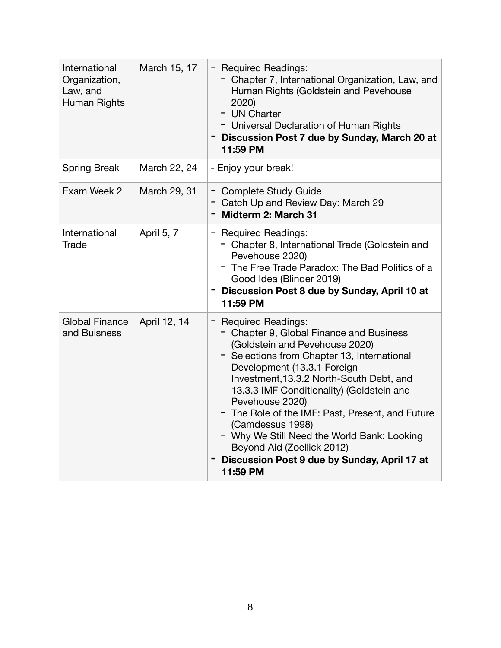| International<br>Organization,<br>Law, and<br>Human Rights | March 15, 17 | - Required Readings:<br>- Chapter 7, International Organization, Law, and<br>Human Rights (Goldstein and Pevehouse<br>2020)<br>- UN Charter<br>- Universal Declaration of Human Rights<br>- Discussion Post 7 due by Sunday, March 20 at<br>11:59 PM                                                                                                                                                                                                                                                               |
|------------------------------------------------------------|--------------|--------------------------------------------------------------------------------------------------------------------------------------------------------------------------------------------------------------------------------------------------------------------------------------------------------------------------------------------------------------------------------------------------------------------------------------------------------------------------------------------------------------------|
| <b>Spring Break</b>                                        | March 22, 24 | - Enjoy your break!                                                                                                                                                                                                                                                                                                                                                                                                                                                                                                |
| Exam Week 2                                                | March 29, 31 | - Complete Study Guide<br>- Catch Up and Review Day: March 29<br>- Midterm 2: March 31                                                                                                                                                                                                                                                                                                                                                                                                                             |
| International<br>Trade                                     | April 5, 7   | - Required Readings:<br>- Chapter 8, International Trade (Goldstein and<br>Pevehouse 2020)<br>- The Free Trade Paradox: The Bad Politics of a<br>Good Idea (Blinder 2019)<br>Discussion Post 8 due by Sunday, April 10 at<br>11:59 PM                                                                                                                                                                                                                                                                              |
| <b>Global Finance</b><br>and Buisness                      | April 12, 14 | <b>Required Readings:</b><br>- Chapter 9, Global Finance and Business<br>(Goldstein and Pevehouse 2020)<br>- Selections from Chapter 13, International<br>Development (13.3.1 Foreign<br>Investment, 13.3.2 North-South Debt, and<br>13.3.3 IMF Conditionality) (Goldstein and<br>Pevehouse 2020)<br>- The Role of the IMF: Past, Present, and Future<br>(Camdessus 1998)<br>- Why We Still Need the World Bank: Looking<br>Beyond Aid (Zoellick 2012)<br>Discussion Post 9 due by Sunday, April 17 at<br>11:59 PM |